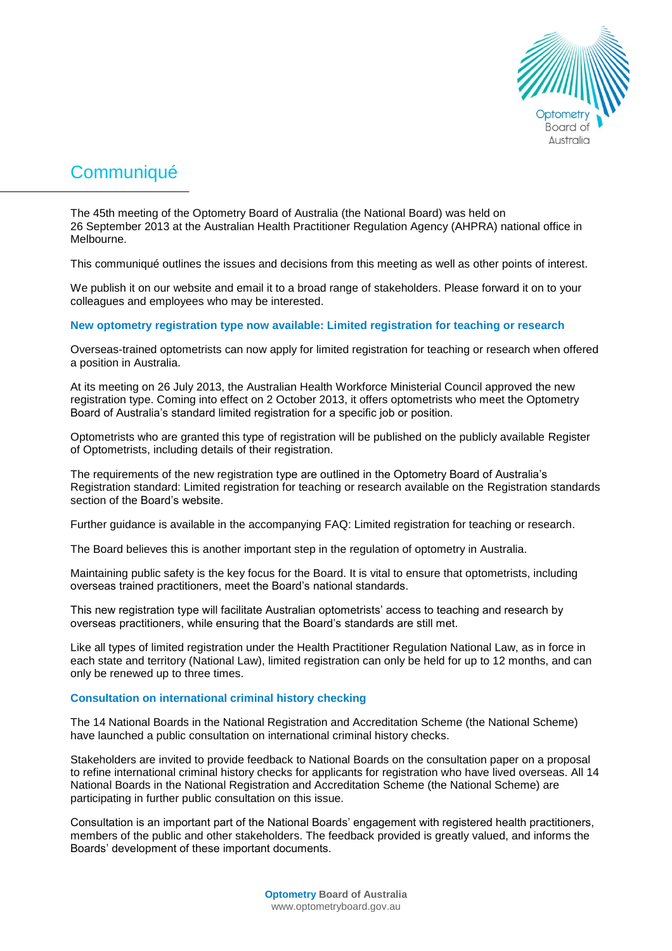

# **Communiqué**

The 45th meeting of the Optometry Board of Australia (the National Board) was held on 26 September 2013 at the Australian Health Practitioner Regulation Agency (AHPRA) national office in Melbourne.

This communiqué outlines the issues and decisions from this meeting as well as other points of interest.

We publish it on our website and email it to a broad range of stakeholders. Please forward it on to your colleagues and employees who may be interested.

**New optometry registration type now available: Limited registration for teaching or research** 

Overseas-trained optometrists can now apply for limited registration for teaching or research when offered a position in Australia.

At its meeting on 26 July 2013, the Australian Health Workforce Ministerial Council approved the new registration type. Coming into effect on 2 October 2013, it offers optometrists who meet the Optometry Board of Australia's standard limited registration for a specific job or position.

Optometrists who are granted this type of registration will be published on the publicly available [Register](http://www.ahpra.gov.au/Registration/Registers-of-Practitioners.aspx)  [of Optometrists,](http://www.ahpra.gov.au/Registration/Registers-of-Practitioners.aspx) including details of their registration.

The requirements of the new registration type are outlined in the Optometry Board of Australia's Registration standard: Limited registration for teaching or research available on the [Registration standards](http://www.optometryboard.gov.au/Registration-Standards.aspx) section of the Board's website.

Further guidance is available in the accompanying [FAQ: Limited registration for teaching or research.](http://www.optometryboard.gov.au/Policies-Codes-Guidelines/FAQ/Limited-registration-teaching-FAQ.aspx)

The Board believes this is another important step in the regulation of optometry in Australia.

Maintaining public safety is the key focus for the Board. It is vital to ensure that optometrists, including overseas trained practitioners, meet the Board's national standards.

This new registration type will facilitate Australian optometrists' access to teaching and research by overseas practitioners, while ensuring that the Board's standards are still met.

Like all types of limited registration under the Health Practitioner Regulation National Law, as in force in each state and territory [\(National Law\)](http://www.ahpra.gov.au/Legislation-and-Publications/Legislation.aspx), limited registration can only be held for up to 12 months, and can only be renewed up to three times.

# **Consultation on international criminal history checking**

The 14 National Boards in the National Registration and Accreditation Scheme (the National Scheme) have launched a public consultation on international criminal history checks.

Stakeholders are invited to provide feedback to National Boards on the consultation paper on a proposal to refine international criminal history checks for applicants for registration who have lived overseas. All 14 National Boards in the National Registration and Accreditation Scheme (the National Scheme) are participating in further public consultation on this issue.

Consultation is an important part of the National Boards' engagement with registered health practitioners, members of the public and other stakeholders. The feedback provided is greatly valued, and informs the Boards' development of these important documents.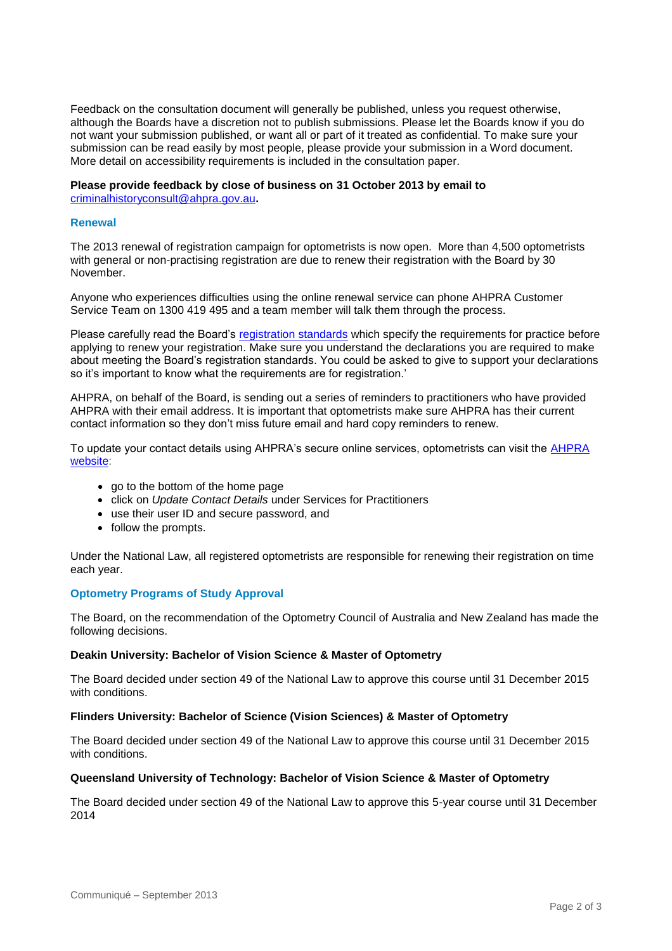Feedback on the consultation document will generally be published, unless you request otherwise, although the Boards have a discretion not to publish submissions. Please let the Boards know if you do not want your submission published, or want all or part of it treated as confidential. To make sure your submission can be read easily by most people, please provide your submission in a Word document. More detail on accessibility requirements is included in the consultation paper.

## **Please provide feedback by close of business on 31 October 2013 by email to**

[criminalhistoryconsult@ahpra.gov.au](mailto:criminalhistoryconsult@ahpra.gov.au)**.**

## **Renewal**

The 2013 renewal of registration campaign for optometrists is now open. More than 4,500 optometrists with general or non-practising registration are due to renew their registration with the Board by 30 November.

Anyone who experiences difficulties using the online renewal service can phone AHPRA Customer Service Team on 1300 419 495 and a team member will talk them through the process.

Please carefully read the Board's [registration standards](http://www.optometryboard.gov.au/Registration-Standards.aspx) which specify the requirements for practice before applying to renew your registration. Make sure you understand the declarations you are required to make about meeting the Board's registration standards. You could be asked to give to support your declarations so it's important to know what the requirements are for registration.'

AHPRA, on behalf of the Board, is sending out a series of reminders to practitioners who have provided AHPRA with their email address. It is important that optometrists make sure AHPRA has their current contact information so they don't miss future email and hard copy reminders to renew.

To update your contact details using AHPRA's secure online services, optometrists can visit the AHPRA [website:](http://www.ahpra.gov.au/)

- go to the bottom of the home page
- click on *Update Contact Details* under Services for Practitioners
- use their user ID and secure password, and
- follow the prompts.

Under the National Law, all registered optometrists are responsible for renewing their registration on time each year.

## **Optometry Programs of Study Approval**

The Board, on the recommendation of the Optometry Council of Australia and New Zealand has made the following decisions.

#### **Deakin University: Bachelor of Vision Science & Master of Optometry**

The Board decided under section 49 of the National Law to approve this course until 31 December 2015 with conditions.

#### **Flinders University: Bachelor of Science (Vision Sciences) & Master of Optometry**

The Board decided under section 49 of the National Law to approve this course until 31 December 2015 with conditions.

#### **Queensland University of Technology: Bachelor of Vision Science & Master of Optometry**

The Board decided under section 49 of the National Law to approve this 5-year course until 31 December 2014